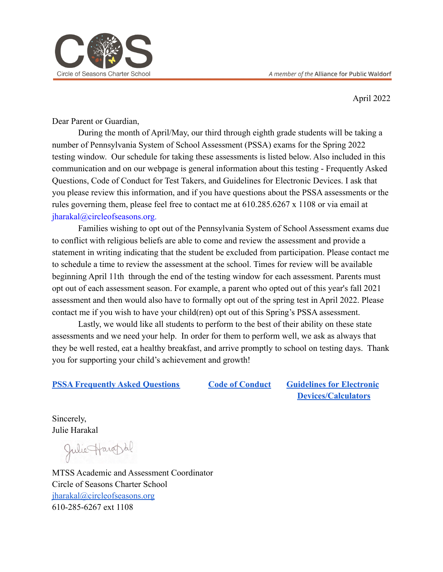

April 2022

Dear Parent or Guardian,

During the month of April/May, our third through eighth grade students will be taking a number of Pennsylvania System of School Assessment (PSSA) exams for the Spring 2022 testing window. Our schedule for taking these assessments is listed below. Also included in this communication and on our webpage is general information about this testing - Frequently Asked Questions, Code of Conduct for Test Takers, and Guidelines for Electronic Devices. I ask that you please review this information, and if you have questions about the PSSA assessments or the rules governing them, please feel free to contact me at 610.285.6267 x 1108 or via email at jharakal@circleofseasons.org.

Families wishing to opt out of the Pennsylvania System of School Assessment exams due to conflict with religious beliefs are able to come and review the assessment and provide a statement in writing indicating that the student be excluded from participation. Please contact me to schedule a time to review the assessment at the school. Times for review will be available beginning April 11th through the end of the testing window for each assessment. Parents must opt out of each assessment season. For example, a parent who opted out of this year's fall 2021 assessment and then would also have to formally opt out of the spring test in April 2022. Please contact me if you wish to have your child(ren) opt out of this Spring's PSSA assessment.

Lastly, we would like all students to perform to the best of their ability on these state assessments and we need your help. In order for them to perform well, we ask as always that they be well rested, eat a healthy breakfast, and arrive promptly to school on testing days. Thank you for supporting your child's achievement and growth!

#### **[PSSA Frequently Asked Questions](https://drive.google.com/file/d/10D0Ds0DJXrNEKmJrhNYWS0gy8WMidR7t/view?usp=sharing) [Code of Conduct](https://drive.google.com/file/d/1CUS2I6qC8kpuxN0qvguyC3YEXO6iAG6T/view?usp=sharing) Guidelines [for Electronic](https://drive.google.com/file/d/1jyLS8-IcFU7wK69mAg1w9noxz62jhkTZ/view?usp=sharing)**

**[Devices/Calculators](https://drive.google.com/file/d/1jyLS8-IcFU7wK69mAg1w9noxz62jhkTZ/view?usp=sharing)**

Sincerely, Julie Harakal

Julie Harophl

MTSS Academic and Assessment Coordinator Circle of Seasons Charter School [jharakal@circleofseasons.org](mailto:jharakal@circleofseasons.org) 610-285-6267 ext 1108